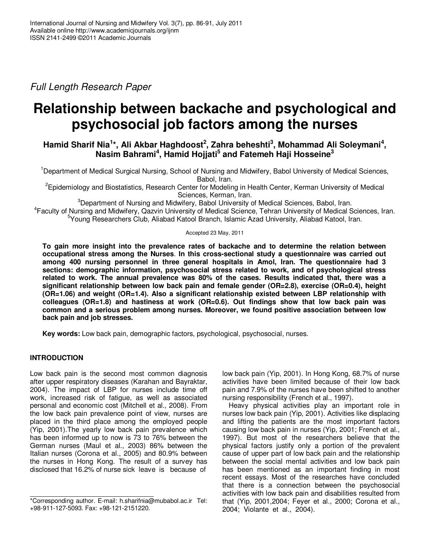Full Length Research Paper

# **Relationship between backache and psychological and psychosocial job factors among the nurses**

**Hamid Sharif Nia<sup>1</sup> \*, Ali Akbar Haghdoost<sup>2</sup> , Zahra beheshti<sup>3</sup> , Mohammad Ali Soleymani<sup>4</sup> , Nasim Bahrami<sup>4</sup> , Hamid Hojjati<sup>5</sup> and Fatemeh Haji Hosseine<sup>3</sup>**

<sup>1</sup>Department of Medical Surgical Nursing, School of Nursing and Midwifery, Babol University of Medical Sciences, Babol, Iran.

<sup>2</sup>Epidemiology and Biostatistics, Research Center for Modeling in Health Center, Kerman University of Medical Sciences, Kerman, Iran.

<sup>3</sup>Department of Nursing and Midwifery, Babol University of Medical Sciences, Babol, Iran.

4 Faculty of Nursing and Midwifery, Qazvin University of Medical Science, Tehran University of Medical Sciences, Iran. <sup>5</sup>Young Researchers Club, Aliabad Katool Branch, Islamic Azad University, Aliabad Katool, Iran.

## Accepted 23 May, 2011

**To gain more insight into the prevalence rates of backache and to determine the relation between occupational stress among the Nurses**. **In this cross-sectional study a questionnaire was carried out among 400 nursing personnel in three general hospitals in Amol, Iran. The questionnaire had 3 sections: demographic information, psychosocial stress related to work, and of psychological stress related to work. The annual prevalence was 80% of the cases. Results indicated that, there was a significant relationship between low back pain and female gender (OR=2.8), exercise (OR=0.4), height (OR=1.06) and weight (OR=1.4). Also a significant relationship existed between LBP relationship with colleagues (OR=1.8) and hastiness at work (OR=0.6). Out findings show that low back pain was common and a serious problem among nurses. Moreover, we found positive association between low back pain and job stresses.** 

**Key words:** Low back pain, demographic factors, psychological, psychosocial, nurses.

# **INTRODUCTION**

Low back pain is the second most common diagnosis after upper respiratory diseases (Karahan and Bayraktar, 2004). The impact of LBP for nurses include time off work, increased risk of fatigue, as well as associated personal and economic cost (Mitchell et al., 2008). From the low back pain prevalence point of view, nurses are placed in the third place among the employed people (Yip, 2001).The yearly low back pain prevalence which has been informed up to now is 73 to 76% between the German nurses (Maul et al., 2003) 86% between the Italian nurses (Corona et al., 2005) and 80.9% between the nurses in Hong Kong. The result of a survey has disclosed that 16.2% of nurse sick leave is because of

low back pain (Yip, 2001). In Hong Kong, 68.7% of nurse activities have been limited because of their low back pain and 7.9% of the nurses have been shifted to another nursing responsibility (French et al., 1997).

Heavy physical activities play an important role in nurses low back pain (Yip, 2001). Activities like displacing and lifting the patients are the most important factors causing low back pain in nurses (Yip, 2001; French et al., 1997). But most of the researchers believe that the physical factors justify only a portion of the prevalent cause of upper part of low back pain and the relationship between the social mental activities and low back pain has been mentioned as an important finding in most recent essays. Most of the researches have concluded that there is a connection between the psychosocial activities with low back pain and disabilities resulted from that (Yip, 2001,2004; Feyer et al., 2000; Corona et al., 2004; Violante et al., 2004).

<sup>\*</sup>Corresponding author. E-mail: h.sharifnia@mubabol.ac.ir Tel: +98-911-127-5093. Fax: +98-121-2151220.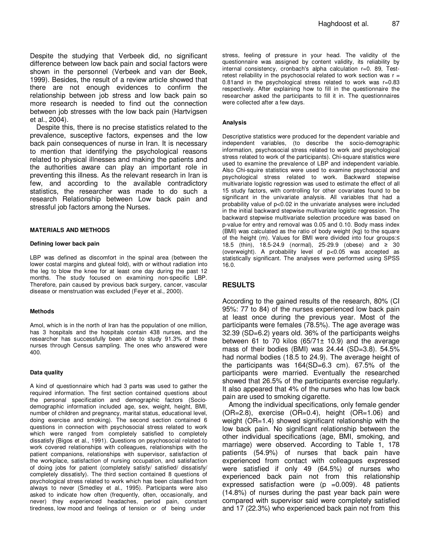Despite the studying that Verbeek did, no significant difference between low back pain and social factors were shown in the personnel (Verbeek and van der Beek, 1999). Besides, the result of a review article showed that there are not enough evidences to confirm the relationship between job stress and low back pain so more research is needed to find out the connection between job stresses with the low back pain (Hartvigsen et al., 2004).

Despite this, there is no precise statistics related to the prevalence, susceptive factors, expenses and the low back pain consequences of nurse in Iran. It is necessary to mention that identifying the psychological reasons related to physical illnesses and making the patients and the authorities aware can play an important role in preventing this illness. As the relevant research in Iran is few, and according to the available contradictory statistics, the researcher was made to do such a research Relationship between Low back pain and stressful job factors among the Nurses.

#### **MATERIALS AND METHODS**

#### **Defining lower back pain**

LBP was defined as discomfort in the spinal area (between the lower costal margins and gluteal fold), with or without radiation into the leg to blow the knee for at least one day during the past 12 months. The study focused on examining non-specific LBP. Therefore, pain caused by previous back surgery, cancer, vascular disease or menstruation was excluded (Feyer et al., 2000).

#### **Methods**

Amol, which is in the north of Iran has the population of one million, has 3 hospitals and the hospitals contain 438 nurses, and the researcher has successfully been able to study 91.3% of these nurses through Census sampling. The ones who answered were 400.

#### **Data quality**

A kind of questionnaire which had 3 parts was used to gather the required information. The first section contained questions about the personal specification and demographic factors (Sociodemographic information included age, sex, weight, height, BMI, number of children and pregnancy, marital status, educational level, doing exercise and smoking). The second section contained 6 questions in connection with psychosocial stress related to work which were ranged from completely satisfied to completely dissatisfy (Bigos et al., 1991). Questions on psychosocial related to work covered relationships with colleagues, relationships with the patient companions, relationships with supervisor, satisfaction of the workplace, satisfaction of nursing occupation, and satisfaction of doing jobs for patient (completely satisfy/ satisfied/ dissatisfy/ completely dissatisfy). The third section contained 8 questions of psychological stress related to work which has been classified from always to never (Smedley et al., 1995). Participants were also asked to indicate how often (frequently, often, occasionally, and never) they experienced headaches, period pain, constant tiredness, low mood and feelings of tension or of being under

stress, feeling of pressure in your head. The validity of the questionnaire was assigned by content validity, its reliability by internal consistency, cronbach's alpha calculation r=0. 89, Testretest reliability in the psychosocial related to work section was  $r =$ 0.81and in the psychological stress related to work was r=0.83 respectively. After explaining how to fill in the questionnaire the researcher asked the participants to fill it in. The questionnaires were collected after a few days.

#### **Analysis**

Descriptive statistics were produced for the dependent variable and independent variables, (to describe the socio-demographic information, psychosocial stress related to work and psychological stress related to work of the participants). Chi-square statistics were used to examine the prevalence of LBP and independent variable. Also Chi-squire statistics were used to examine psychosocial and psychological stress related to work. Backward stepwise multivariate logistic regression was used to estimate the effect of all 15 study factors, with controlling for other covariates found to be significant in the univariate analysis. All variables that had a probability value of p<0.02 in the univariate analyses were included in the initial backward stepwise multivariate logistic regression. The backward stepwise multivariate selection procedure was based on p-value for entry and removal was 0.05 and 0.10. Body mass index (BMI) was calculated as the ratio of body weight (kg) to the square of the height (m). Values for BMI were divided into four groups:≤ 18.5 (thin), 18.5-24.9 (normal), 25-29.9 (obese) and ≥ 30 (overweight). A probability level of p<0.05 was accepted as statistically significant. The analyses were performed using SPSS 16.0.

## **RESULTS**

According to the gained results of the research, 80% (CI 95%: 77 to 84) of the nurses experienced low back pain at least once during the previous year. Most of the participants were females (78.5%). The age average was 32.39 (SD=6.2) years old. 36% of the participants weighs between 61 to 70 kilos  $(65/71 \pm 10.9)$  and the average mass of their bodies (BMI) was 24.44 (SD=3.8). 54.5% had normal bodies (18.5 to 24.9). The average height of the participants was 164(SD=6.3 cm). 67.5% of the participants were married. Eventually the researched showed that 26.5% of the participants exercise regularly. It also appeared that 4% of the nurses who has low back pain are used to smoking cigarette.

Among the individual specifications, only female gender (OR=2.8), exercise (OR=0.4), height (OR=1.06) and weight (OR=1.4) showed significant relationship with the low back pain. No significant relationship between the other individual specifications (age, BMI, smoking, and marriage) were observed. According to Table 1, 178 patients (54.9%) of nurses that back pain have experienced from contact with colleagues expressed were satisfied if only 49 (64.5%) of nurses who experienced back pain not from this relationship expressed satisfaction were ( $p = 0.009$ ). 48 patients (14.8%) of nurses during the past year back pain were compared with supervisor said were completely satisfied and 17 (22.3%) who experienced back pain not from this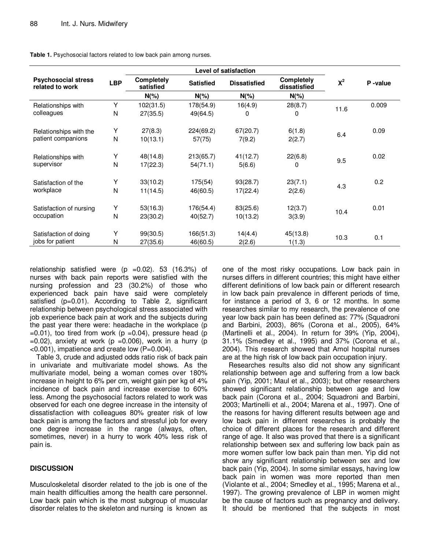|                                               |            | <b>Level of satisfaction</b>   |                  |                     |          |       |         |
|-----------------------------------------------|------------|--------------------------------|------------------|---------------------|----------|-------|---------|
| <b>Psychosocial stress</b><br>related to work | <b>LBP</b> | <b>Completely</b><br>satisfied | <b>Satisfied</b> | <b>Dissatisfied</b> |          | $X^2$ | P-value |
|                                               |            | $N(\%)$                        | $N(\%)$          | $N(\%)$             | $N(\%)$  |       |         |
| Relationships with                            | Y          | 102(31.5)                      | 178(54.9)        | 16(4.9)             | 28(8.7)  | 11.6  | 0.009   |
| colleagues                                    | N          | 27(35.5)                       | 49(64.5)         | 0                   | 0        |       |         |
| Relationships with the                        | Y          | 27(8.3)                        | 224(69.2)        | 67(20.7)            | 6(1.8)   |       | 0.09    |
| patient companions                            | N          | 10(13.1)                       | 57(75)           | 7(9.2)              | 2(2.7)   | 6.4   |         |
| Relationships with                            | Y          | 48(14.8)                       | 213(65.7)        | 41(12.7)            | 22(6.8)  |       | 0.02    |
| supervisor                                    | N          | 17(22.3)                       | 54(71.1)         | 5(6.6)              | $\Omega$ | 9.5   |         |
| Satisfaction of the<br>workplace              | Y          | 33(10.2)                       | 175(54)          | 93(28.7)            | 23(7.1)  |       | 0.2     |
|                                               | N          | 11(14.5)                       | 46(60.5)         | 17(22.4)            | 2(2.6)   | 4.3   |         |
| Satisfaction of nursing<br>occupation         | Y          | 53(16.3)                       | 176(54.4)        | 83(25.6)            | 12(3.7)  |       | 0.01    |
|                                               | N          | 23(30.2)                       | 40(52.7)         | 10(13.2)            | 3(3.9)   | 10.4  |         |
| Satisfaction of doing                         | Y          | 99(30.5)                       | 166(51.3)        | 14(4.4)             | 45(13.8) |       |         |
| jobs for patient                              | N          | 27(35.6)                       | 46(60.5)         | 2(2.6)              | 1(1.3)   | 10.3  | 0.1     |

**Table 1.** Psychosocial factors related to low back pain among nurses.

relationship satisfied were  $(p = 0.02)$ . 53 (16.3%) of nurses with back pain reports were satisfied with the nursing profession and 23 (30.2%) of those who experienced back pain have said were completely satisfied (p=0.01). According to Table 2, significant relationship between psychological stress associated with job experience back pain at work and the subjects during the past year there were: headache in the workplace (p  $=0.01$ ), too tired from work (p  $=0.04$ ), pressure head (p  $=0.02$ ), anxiety at work (p  $=0.006$ ), work in a hurry (p  $\leq$ 0.001), impatience and create low (P=0.004).

Table 3, crude and adjusted odds ratio risk of back pain in univariate and multivariate model shows. As the multivariate model, being a woman comes over 180% increase in height to 6% per cm, weight gain per kg of 4% incidence of back pain and increase exercise to 60% less. Among the psychosocial factors related to work was observed for each one degree increase in the intensity of dissatisfaction with colleagues 80% greater risk of low back pain is among the factors and stressful job for every one degree increase in the range (always, often, sometimes, never) in a hurry to work 40% less risk of pain is.

# **DISCUSSION**

Musculoskeletal disorder related to the job is one of the main health difficulties among the health care personnel. Low back pain which is the most subgroup of muscular disorder relates to the skeleton and nursing is known as one of the most risky occupations. Low back pain in nurses differs in different countries; this might have either different definitions of low back pain or different research in low back pain prevalence in different periods of time, for instance a period of 3, 6 or 12 months. In some researches similar to my research, the prevalence of one year low back pain has been defined as: 77% (Squadroni and Barbini, 2003), 86% (Corona et al., 2005), 64% (Martinelli et al., 2004). In return for 39% (Yip, 2004), 31.1% (Smedley et al., 1995) and 37% (Corona et al., 2004). This research showed that Amol hospital nurses are at the high risk of low back pain occupation injury.

Researches results also did not show any significant relationship between age and suffering from a low back pain (Yip, 2001; Maul et al., 2003); but other researchers showed significant relationship between age and low back pain (Corona et al., 2004; Squadroni and Barbini, 2003; Martinelli et al., 2004; Marena et al., 1997). One of the reasons for having different results between age and low back pain in different researches is probably the choice of different places for the research and different range of age. It also was proved that there is a significant relationship between sex and suffering low back pain as more women suffer low back pain than men. Yip did not show any significant relationship between sex and low back pain (Yip, 2004). In some similar essays, having low back pain in women was more reported than men (Violante et al., 2004; Smedley et al., 1995; Marena et al., 1997). The growing prevalence of LBP in women might be the cause of factors such as pregnancy and delivery. It should be mentioned that the subjects in most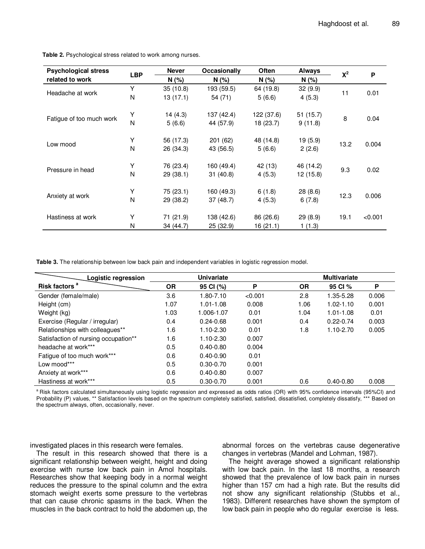| <b>Psychological stress</b> | <b>LBP</b> | Never     | Often<br><b>Occasionally</b> |            | <b>Always</b><br>$X^2$ |      |         |
|-----------------------------|------------|-----------|------------------------------|------------|------------------------|------|---------|
| related to work             |            | N(% )     | $N(\%)$                      | N(%        | N(% )                  |      | P       |
| Headache at work            | Y          | 35(10.8)  | 193 (59.5)                   | 64 (19.8)  | 32(9.9)                | 11   | 0.01    |
|                             | N          | 13(17.1)  | 54 (71)                      | 5(6.6)     | 4(5.3)                 |      |         |
| Fatigue of too much work    | Υ          | 14(4.3)   | 137 (42.4)                   | 122 (37.6) | 51 (15.7)              |      | 0.04    |
|                             | N          | 5(6.6)    | 44 (57.9)                    | 18 (23.7)  | 9(11.8)                | 8    |         |
|                             | Y          | 56 (17.3) | 201(62)                      | 48 (14.8)  | 19(5.9)                |      | 0.004   |
| Low mood                    | N          | 26 (34.3) | 43 (56.5)                    | 5(6.6)     | 2(2.6)                 | 13.2 |         |
|                             | Y          | 76 (23.4) | 160 (49.4)                   | 42 (13)    | 46 (14.2)              | 9.3  | 0.02    |
| Pressure in head            | N          | 29 (38.1) | 31(40.8)                     | 4(5.3)     | 12(15.8)               |      |         |
|                             |            |           |                              |            |                        |      |         |
| Anxiety at work             | Y          | 75 (23.1) | 160 (49.3)                   | 6(1.8)     | 28(8.6)                | 12.3 | 0.006   |
|                             | N          | 29 (38.2) | 37 (48.7)                    | 4(5.3)     | 6(7.8)                 |      |         |
| Hastiness at work           | Υ          | 71 (21.9) | 138 (42.6)                   | 86 (26.6)  | 29(8.9)                | 19.1 | < 0.001 |
|                             | N          | 34 (44.7) | 25 (32.9)                    | 16 (21.1)  | 1(1.3)                 |      |         |

**Table 2.** Psychological stress related to work among nurses.

**Table 3.** The relationship between low back pain and independent variables in logistic regression model.

| Logistic regression                  | <b>Univariate</b> |               |         | <b>Multivariate</b> |               |       |  |
|--------------------------------------|-------------------|---------------|---------|---------------------|---------------|-------|--|
| Risk factors <sup>a</sup>            | ΟR                | 95 CI (%)     | P       | <b>OR</b>           | 95 CI %       | P     |  |
| Gender (female/male)                 | 3.6               | 1.80-7.10     | < 0.001 | 2.8                 | 1.35-5.28     | 0.006 |  |
| Height (cm)                          | 1.07              | $1.01 - 1.08$ | 0.008   | 1.06                | $1.02 - 1.10$ | 0.001 |  |
| Weight (kg)                          | 1.03              | 1.006-1.07    | 0.01    | 1.04                | $1.01 - 1.08$ | 0.01  |  |
| Exercise (Regular / irregular)       | 0.4               | $0.24 - 0.68$ | 0.001   | 0.4                 | $0.22 - 0.74$ | 0.003 |  |
| Relationships with colleagues**      | 1.6               | $1.10 - 2.30$ | 0.01    | 1.8                 | 1.10-2.70     | 0.005 |  |
| Satisfaction of nursing occupation** | 1.6               | $1.10 - 2.30$ | 0.007   |                     |               |       |  |
| headache at work***                  | 0.5               | $0.40 - 0.80$ | 0.004   |                     |               |       |  |
| Fatigue of too much work***          | 0.6               | $0.40 - 0.90$ | 0.01    |                     |               |       |  |
| Low mood***                          | 0.5               | $0.30 - 0.70$ | 0.001   |                     |               |       |  |
| Anxiety at work***                   | 0.6               | $0.40 - 0.80$ | 0.007   |                     |               |       |  |
| Hastiness at work***                 | 0.5               | $0.30 - 0.70$ | 0.001   | 0.6                 | $0.40 - 0.80$ | 0.008 |  |

<sup>a</sup> Risk factors calculated simultaneously using logistic regression and expressed as odds ratios (OR) with 95% confidence intervals (95%CI) and Probability (P) values, \*\* Satisfaction levels based on the spectrum completely satisfied, satisfied, dissatisfied, completely dissatisfy, \*\*\* Based on the spectrum always, often, occasionally, never.

investigated places in this research were females.

The result in this research showed that there is a significant relationship between weight, height and doing exercise with nurse low back pain in Amol hospitals. Researches show that keeping body in a normal weight reduces the pressure to the spinal column and the extra stomach weight exerts some pressure to the vertebras that can cause chronic spasms in the back. When the muscles in the back contract to hold the abdomen up, the

abnormal forces on the vertebras cause degenerative changes in vertebras (Mandel and Lohman, 1987).

The height average showed a significant relationship with low back pain. In the last 18 months, a research showed that the prevalence of low back pain in nurses higher than 157 cm had a high rate. But the results did not show any significant relationship (Stubbs et al., 1983). Different researches have shown the symptom of low back pain in people who do regular exercise is less.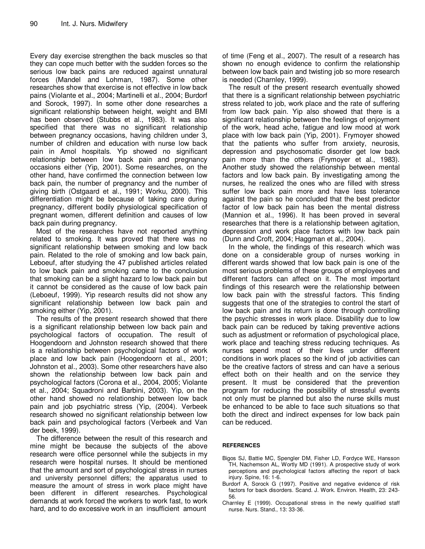Every day exercise strengthen the back muscles so that they can cope much better with the sudden forces so the serious low back pains are reduced against unnatural forces (Mandel and Lohman, 1987). Some other researches show that exercise is not effective in low back pains (Violante et al., 2004; Martinelli et al., 2004; Burdorf and Sorock, 1997). In some other done researches a significant relationship between height, weight and BMI has been observed (Stubbs et al., 1983). It was also specified that there was no significant relationship between pregnancy occasions, having children under 3, number of children and education with nurse low back pain in Amol hospitals. Yip showed no significant relationship between low back pain and pregnancy occasions either (Yip, 2001). Some researches, on the other hand, have confirmed the connection between low back pain, the number of pregnancy and the number of giving birth (Ostgaard et al., 1991; Worku, 2000). This differentiation might be because of taking care during pregnancy, different bodily physiological specification of pregnant women, different definition and causes of low back pain during pregnancy.

Most of the researches have not reported anything related to smoking. It was proved that there was no significant relationship between smoking and low back pain. Related to the role of smoking and low back pain, Leboeuf, after studying the 47 published articles related to low back pain and smoking came to the conclusion that smoking can be a slight hazard to low back pain but it cannot be considered as the cause of low back pain (Leboeuf, 1999). Yip research results did not show any significant relationship between low back pain and smoking either (Yip, 2001).

The results of the present research showed that there is a significant relationship between low back pain and psychological factors of occupation. The result of Hoogendoorn and Johnston research showed that there is a relationship between psychological factors of work place and low back pain (Hoogendoorn et al., 2001; Johnston et al., 2003). Some other researchers have also shown the relationship between low back pain and psychological factors (Corona et al., 2004, 2005; Violante et al., 2004; Squadroni and Barbini, 2003). Yip, on the other hand showed no relationship between low back pain and job psychiatric stress (Yip, (2004). Verbeek research showed no significant relationship between low back pain and psychological factors (Verbeek and Van der beek, 1999).

The difference between the result of this research and mine might be because the subjects of the above research were office personnel while the subjects in my research were hospital nurses. It should be mentioned that the amount and sort of psychological stress in nurses and university personnel differs; the apparatus used to measure the amount of stress in work place might have been different in different researches. Psychological demands at work forced the workers to work fast, to work hard, and to do excessive work in an insufficient amount

of time (Feng et al., 2007). The result of a research has shown no enough evidence to confirm the relationship between low back pain and twisting job so more research is needed (Charnley, 1999).

The result of the present research eventually showed that there is a significant relationship between psychiatric stress related to job, work place and the rate of suffering from low back pain. Yip also showed that there is a significant relationship between the feelings of enjoyment of the work, head ache, fatigue and low mood at work place with low back pain (Yip, 2001). Frymoyer showed that the patients who suffer from anxiety, neurosis, depression and psychosomatic disorder get low back pain more than the others (Frymoyer et al., 1983). Another study showed the relationship between mental factors and low back pain. By investigating among the nurses, he realized the ones who are filled with stress suffer low back pain more and have less tolerance against the pain so he concluded that the best predictor factor of low back pain has been the mental distress (Mannion et al., 1996). It has been proved in several researches that there is a relationship between agitation, depression and work place factors with low back pain (Dunn and Croft, 2004; Haggman et al., 2004).

In the whole, the findings of this research which was done on a considerable group of nurses working in different wards showed that low back pain is one of the most serious problems of these groups of employees and different factors can affect on it. The most important findings of this research were the relationship between low back pain with the stressful factors. This finding suggests that one of the strategies to control the start of low back pain and its return is done through controlling the psychic stresses in work place. Disability due to low back pain can be reduced by taking preventive actions such as adjustment or reformation of psychological place, work place and teaching stress reducing techniques. As nurses spend most of their lives under different conditions in work places so the kind of job activities can be the creative factors of stress and can have a serious effect both on their health and on the service they present. It must be considered that the prevention program for reducing the possibility of stressful events not only must be planned but also the nurse skills must be enhanced to be able to face such situations so that both the direct and indirect expenses for low back pain can be reduced.

## **REFERENCES**

- Bigos SJ, Battie MC, Spengler DM, Fisher LD, Fordyce WE, Hansson TH, Nachemson AL, Wortly MD (1991). A prospective study of work perceptions and psychological factors affecting the report of back injury. Spine, 16: 1-6.
- Burdorf A, Sorock G (1997). Positive and negative evidence of risk factors for back disorders. Scand. J. Work. Environ. Health, 23: 243- 56.
- Charnley E (1999). Occupational stress in the newly qualified staff nurse. Nurs. Stand., 13: 33-36.